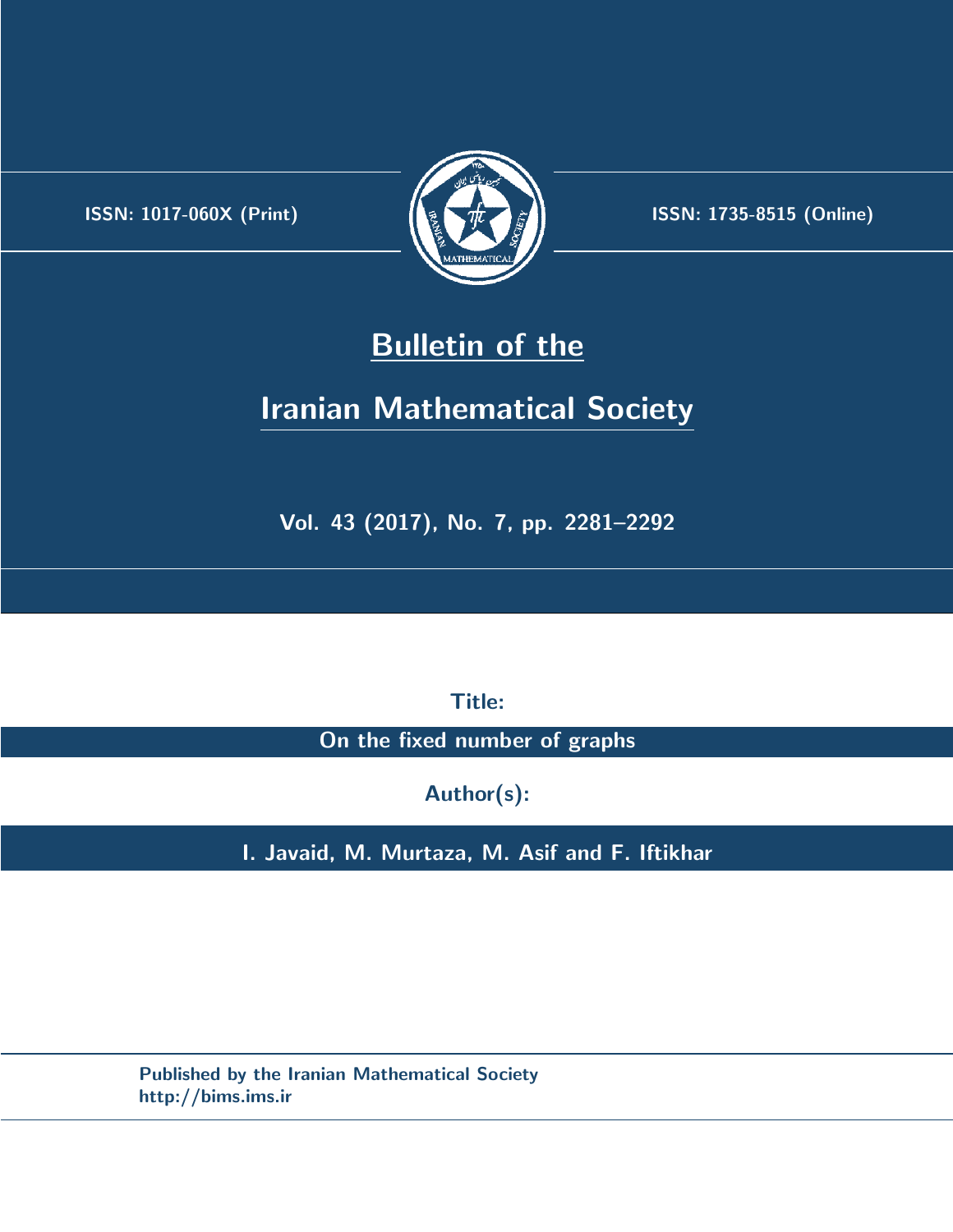.



**ISSN:** 1017-060X (Print) **ISSN:** 1735-8515 (Online)

# **Bulletin of the**

# **Iranian Mathematical Society**

**Vol. 43 (2017), No. 7, pp. 2281–2292**

**Title:**

**On the fixed number of graphs**

**Author(s):**

**I. Javaid, M. Murtaza, M. Asif and F. Iftikhar**

**Published by the Iranian Mathematical Society http://bims.ims.ir**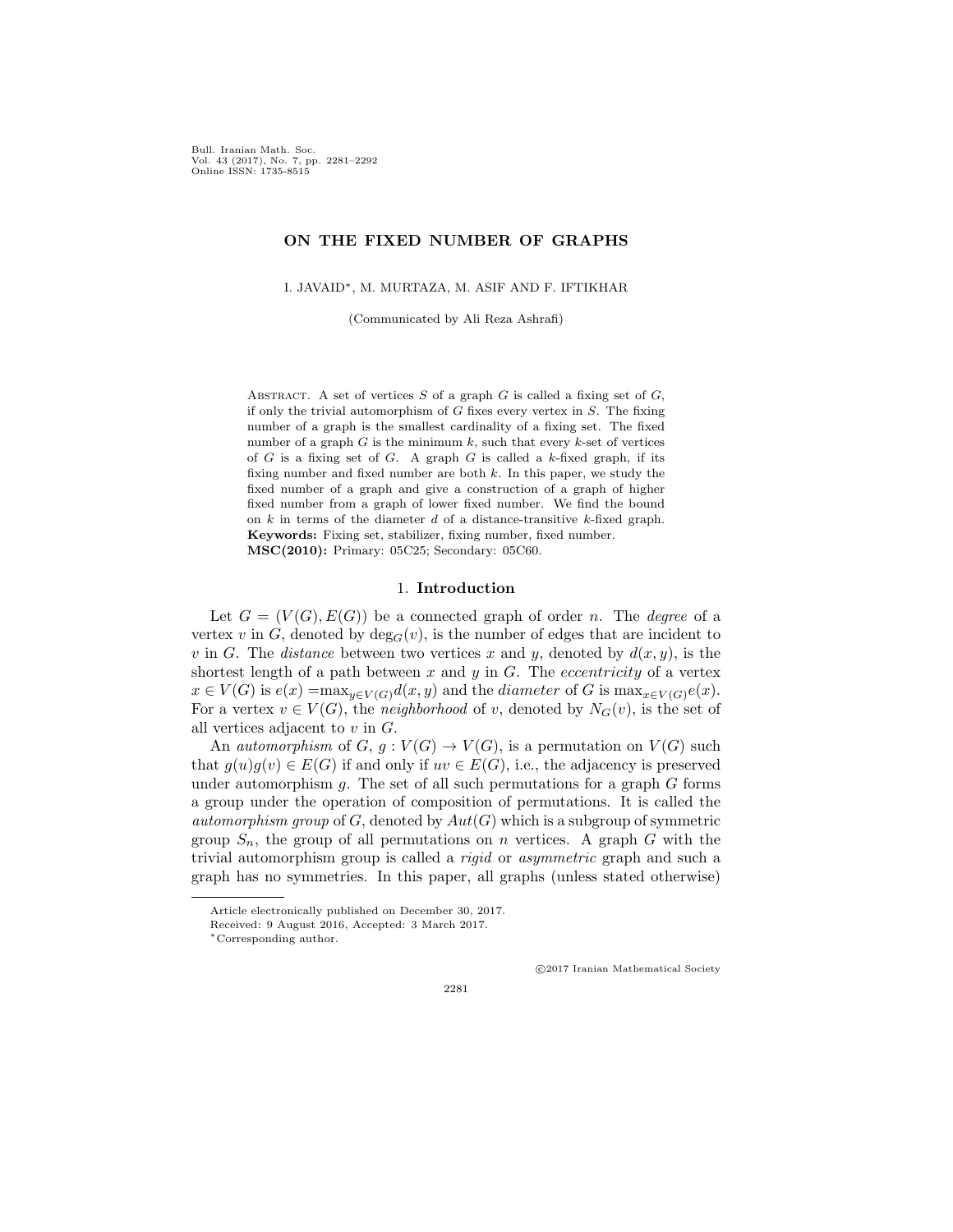Bull. Iranian Math. Soc. Vol. 43 (2017), No. 7, pp. 2281–2292 Online ISSN: 1735-8515

### **ON THE FIXED NUMBER OF GRAPHS**

I. JAVAID*∗*, M. MURTAZA, M. ASIF AND F. IFTIKHAR

(Communicated by Ali Reza Ashrafi)

ABSTRACT. A set of vertices  $S$  of a graph  $G$  is called a fixing set of  $G$ , if only the trivial automorphism of *G* fixes every vertex in *S*. The fixing number of a graph is the smallest cardinality of a fixing set. The fixed number of a graph  $G$  is the minimum  $k$ , such that every  $k$ -set of vertices of *G* is a fixing set of *G*. A graph *G* is called a *k*-fixed graph, if its fixing number and fixed number are both *k*. In this paper, we study the fixed number of a graph and give a construction of a graph of higher fixed number from a graph of lower fixed number. We find the bound on *k* in terms of the diameter *d* of a distance-transitive *k*-fixed graph. **Keywords:** Fixing set, stabilizer, fixing number, fixed number. **MSC(2010):** Primary: 05C25; Secondary: 05C60.

#### 1. **Introduction**

Let  $G = (V(G), E(G))$  be a connected graph of order *n*. The *degree* of a vertex *v* in *G*, denoted by  $\deg_G(v)$ , is the number of edges that are incident to *v* in *G*. The *distance* between two vertices *x* and *y*, denoted by  $d(x, y)$ , is the shortest length of a path between  $x$  and  $y$  in  $G$ . The *eccentricity* of a vertex  $x \in V(G)$  is  $e(x) = \max_{y \in V(G)} d(x, y)$  and the *diameter* of *G* is  $\max_{x \in V(G)} e(x)$ . For a vertex  $v \in V(G)$ , the *neighborhood* of *v*, denoted by  $N_G(v)$ , is the set of all vertices adjacent to *v* in *G*.

An *automorphism* of  $G$ ,  $g: V(G) \to V(G)$ , is a permutation on  $V(G)$  such that  $g(u)g(v) \in E(G)$  if and only if  $uv \in E(G)$ , i.e., the adjacency is preserved under automorphism *g*. The set of all such permutations for a graph *G* forms a group under the operation of composition of permutations. It is called the *automorphism group* of  $G$ , denoted by  $Aut(G)$  which is a subgroup of symmetric group  $S_n$ , the group of all permutations on *n* vertices. A graph *G* with the trivial automorphism group is called a *rigid* or *asymmetric* graph and such a graph has no symmetries. In this paper, all graphs (unless stated otherwise)

*⃝*c 2017 Iranian Mathematical Society

Article electronically published on December 30, 2017.

Received: 9 August 2016, Accepted: 3 March 2017.

*<sup>∗</sup>*Corresponding author.

<sup>2281</sup>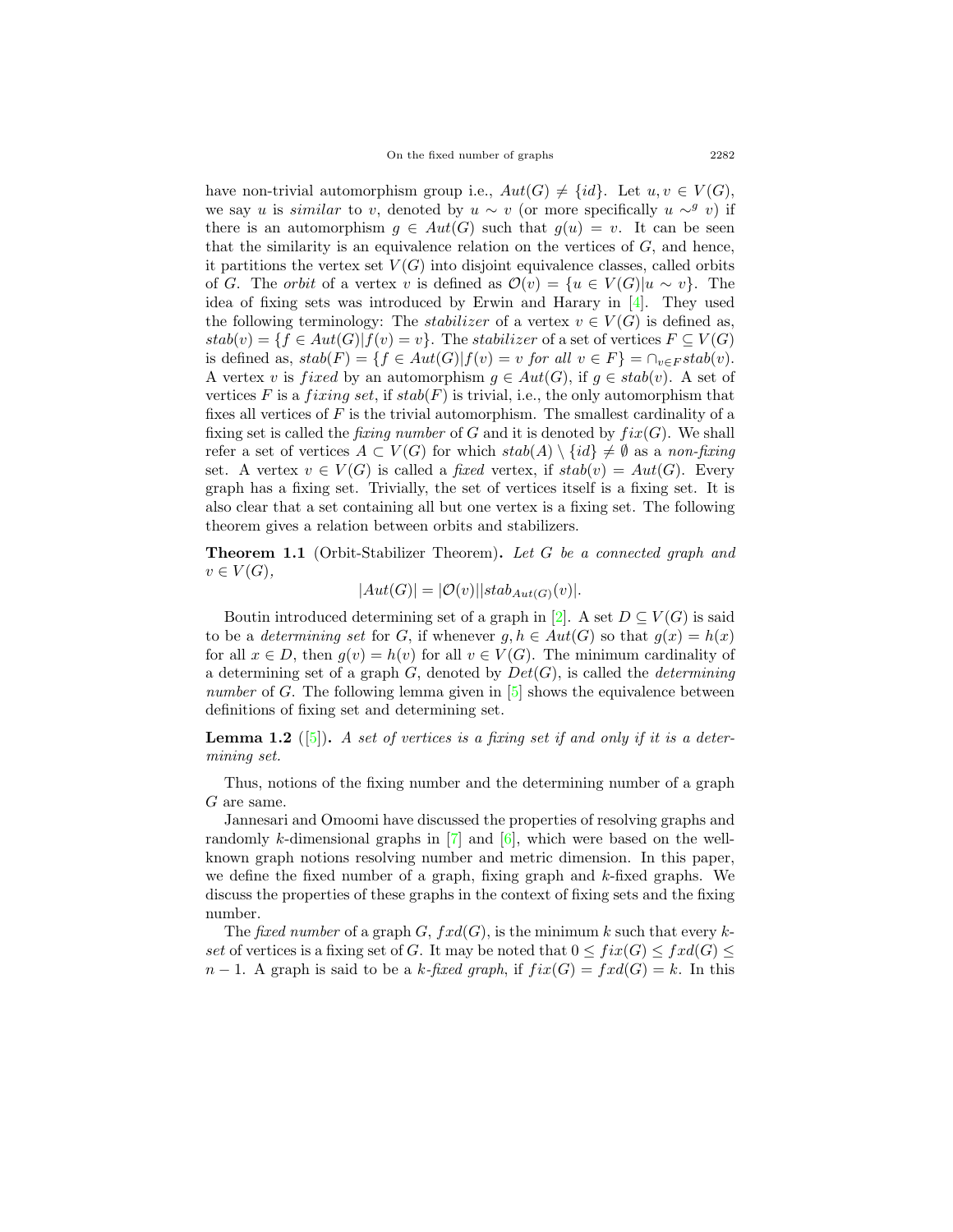have non-trivial automorphism group i.e.,  $Aut(G) \neq \{id\}$ . Let  $u, v \in V(G)$ , we say *u* is *similar* to *v*, denoted by  $u \sim v$  (or more specifically  $u \sim^g v$ ) if there is an automorphism  $g \in Aut(G)$  such that  $g(u) = v$ . It can be seen that the similarity is an equivalence relation on the vertices of *G*, and hence, it partitions the vertex set  $V(G)$  into disjoint equivalence classes, called orbits of *G*. The *orbit* of a vertex *v* is defined as  $\mathcal{O}(v) = \{u \in V(G) | u \sim v\}$ . The idea of fixing sets was introduced by Erwin and Harary in [[4\]](#page-11-0). They used the following terminology: The *stabilizer* of a vertex  $v \in V(G)$  is defined as,  $stab(v) = \{f \in Aut(G) | f(v) = v\}$ . The *stabilizer* of a set of vertices  $F \subseteq V(G)$ is defined as,  $stab(F) = \{ f \in Aut(G) | f(v) = v \text{ for all } v \in F \} = \cap_{v \in F} stab(v).$ A vertex *v* is *fixed* by an automorphism  $g \in Aut(G)$ , if  $g \in stab(v)$ . A set of vertices  $F$  is a *fixing set*, if  $stab(F)$  is trivial, i.e., the only automorphism that fixes all vertices of *F* is the trivial automorphism. The smallest cardinality of a fixing set is called the *fixing number* of  $G$  and it is denoted by  $fix(G)$ . We shall refer a set of vertices  $A \subset V(G)$  for which  $stab(A) \setminus \{id\} \neq \emptyset$  as a *non-fixing* set. A vertex  $v \in V(G)$  is called a *fixed* vertex, if  $stab(v) = Aut(G)$ . Every graph has a fixing set. Trivially, the set of vertices itself is a fixing set. It is also clear that a set containing all but one vertex is a fixing set. The following theorem gives a relation between orbits and stabilizers.

<span id="page-2-0"></span>**Theorem 1.1** (Orbit-Stabilizer Theorem)**.** *Let G be a connected graph and*  $v \in V(G)$ ,

$$
|Aut(G)| = |\mathcal{O}(v)||stab_{Aut(G)}(v)|.
$$

Boutin introduced determining set of a graph in [[2\]](#page-11-1). A set  $D \subseteq V(G)$  is said to be a *determining set* for *G*, if whenever  $g, h \in Aut(G)$  so that  $g(x) = h(x)$ for all  $x \in D$ , then  $g(v) = h(v)$  for all  $v \in V(G)$ . The minimum cardinality of a determining set of a graph *G*, denoted by *Det*(*G*), is called the *determining number* of *G*. The following lemma given in [\[5](#page-11-2)] shows the equivalence between definitions of fixing set and determining set.

**Lemma 1.2** ([[5\]](#page-11-2))**.** *A set of vertices is a fixing set if and only if it is a determining set.*

Thus, notions of the fixing number and the determining number of a graph *G* are same.

Jannesari and Omoomi have discussed the properties of resolving graphs and randomly *k*-dimensional graphs in  $[7]$  $[7]$  and  $[6]$  $[6]$ , which were based on the wellknown graph notions resolving number and metric dimension. In this paper, we define the fixed number of a graph, fixing graph and *k*-fixed graphs. We discuss the properties of these graphs in the context of fixing sets and the fixing number.

The *fixed number* of a graph *G*, *fxd*(*G*), is the minimum *k* such that every *kset* of vertices is a fixing set of *G*. It may be noted that  $0 \leq fix(G) \leq fix(G) \leq$  $n-1$ . A graph is said to be a *k*-fixed graph, if  $fix(G) = fxd(G) = k$ . In this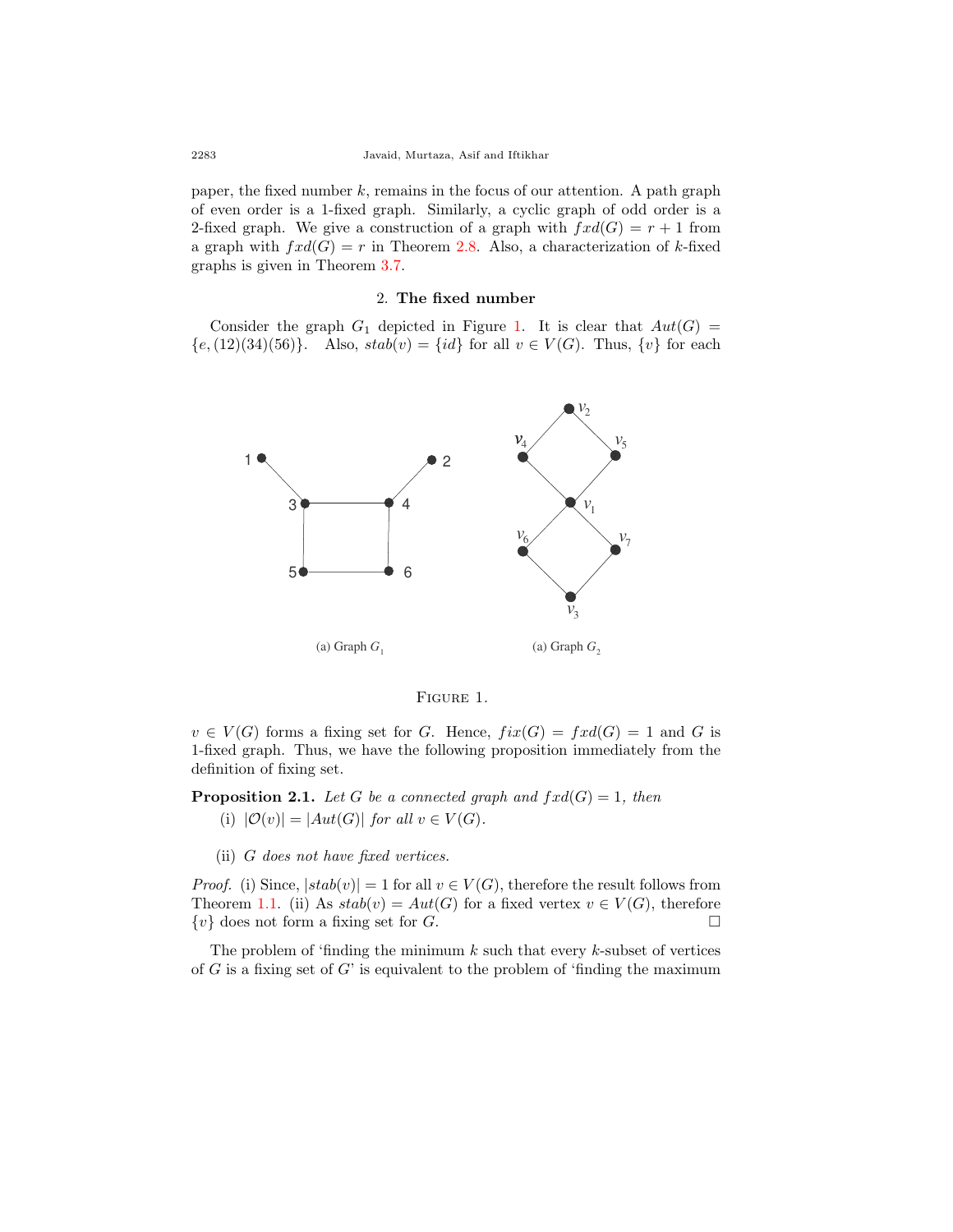paper, the fixed number *k*, remains in the focus of our attention. A path graph of even order is a 1-fixed graph. Similarly, a cyclic graph of odd order is a 2-fixed graph. We give a construction of a graph with  $fxd(G) = r + 1$  from a graph with  $frd(G) = r$  in Theorem [2.8.](#page-5-0) Also, a characterization of *k*-fixed graphs is given in Theorem [3.7.](#page-8-0)

### 2. **The fixed number**

Consider the graph  $G_1$  $G_1$  depicted in Figure 1. It is clear that  $Aut(G)$  =  ${e, (12)(34)(56)}$ . Also,  $stab(v) = {id}$  for all  $v \in V(G)$ . Thus,  ${v}$  for each



<span id="page-3-0"></span>

 $v \in V(G)$  forms a fixing set for *G*. Hence,  $fix(G) = fxd(G) = 1$  and *G* is 1-fixed graph. Thus, we have the following proposition immediately from the definition of fixing set.

**Proposition 2.1.** *Let*  $G$  *be a connected graph and*  $fxd(G) = 1$ *, then* 

(i)  $|\mathcal{O}(v)| = |Aut(G)|$  *for all*  $v \in V(G)$ *.* 

(ii) *G does not have fixed vertices.*

*Proof.* (i) Since,  $|stab(v)| = 1$  for all  $v \in V(G)$ , therefore the result follows from Theorem [1.1](#page-2-0). (ii) As  $stab(v) = Aut(G)$  for a fixed vertex  $v \in V(G)$ , therefore  $\{v\}$  does not form a fixing set for *G*. □

The problem of 'finding the minimum *k* such that every *k*-subset of vertices of *G* is a fixing set of *G*' is equivalent to the problem of 'finding the maximum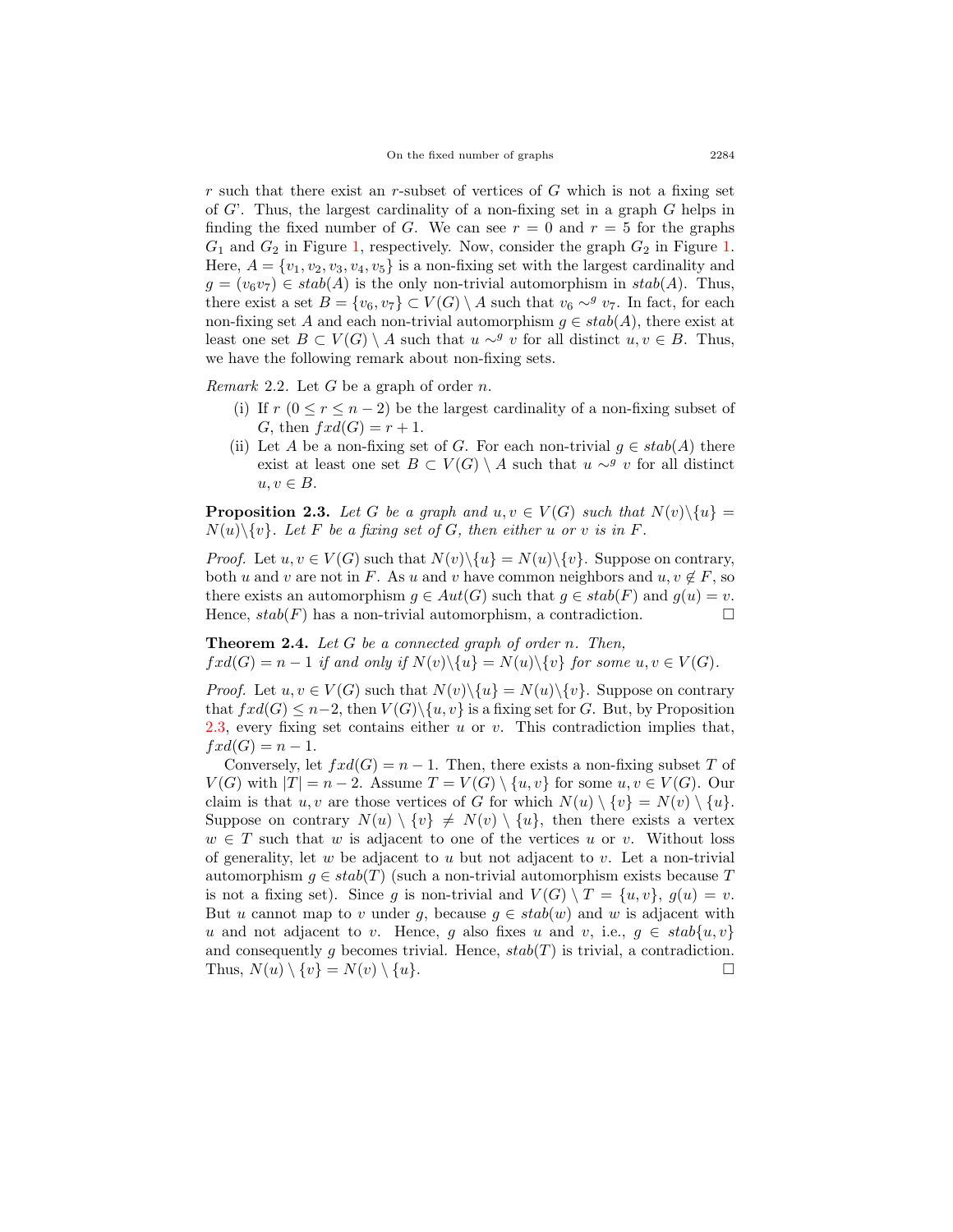*r* such that there exist an *r*-subset of vertices of *G* which is not a fixing set of *G*'. Thus, the largest cardinality of a non-fixing set in a graph *G* helps in finding the fixed number of *G*. We can see  $r = 0$  and  $r = 5$  for the graphs *G*<sup>1</sup> and *G*<sup>2</sup> in Figure [1](#page-3-0), respectively. Now, consider the graph *G*<sup>2</sup> in Figure [1](#page-3-0). Here,  $A = \{v_1, v_2, v_3, v_4, v_5\}$  is a non-fixing set with the largest cardinality and  $g = (v_6v_7) \in stab(A)$  is the only non-trivial automorphism in  $stab(A)$ . Thus, there exist a set  $B = \{v_6, v_7\} \subset V(G) \setminus A$  such that  $v_6 \sim^g v_7$ . In fact, for each non-fixing set *A* and each non-trivial automorphism  $g \in stab(A)$ , there exist at least one set *B* ⊂ *V*(*G*)  $\setminus$  *A* such that *u* ∼<sup>*g*</sup> *v* for all distinct *u, v* ∈ *B*. Thus, we have the following remark about non-fixing sets.

<span id="page-4-2"></span>*Remark* 2.2*.* Let *G* be a graph of order *n*.

- (i) If  $r$  ( $0 \le r \le n-2$ ) be the largest cardinality of a non-fixing subset of *G*, then  $fxd(G) = r + 1$ .
- (ii) Let *A* be a non-fixing set of *G*. For each non-trivial  $g \in stab(A)$  there exist at least one set  $B \subset V(G) \setminus A$  such that  $u \sim^g v$  for all distinct  $u, v \in B$ .

<span id="page-4-0"></span>**Proposition 2.3.** Let G be a graph and  $u, v \in V(G)$  such that  $N(v) \setminus \{u\}$  $N(u)\$ {*v*}*. Let F be a fixing set of G, then either u or v is in F.* 

*Proof.* Let  $u, v \in V(G)$  such that  $N(v) \setminus \{u\} = N(u) \setminus \{v\}$ . Suppose on contrary, both *u* and *v* are not in *F*. As *u* and *v* have common neighbors and  $u, v \notin F$ , so there exists an automorphism  $g \in Aut(G)$  such that  $g \in stab(F)$  and  $g(u) = v$ . Hence,  $stab(F)$  has a non-trivial automorphism, a contradiction.  $\Box$ 

<span id="page-4-1"></span>**Theorem 2.4.** *Let G be a connected graph of order n. Then,*  $fxd(G) = n-1$  *if and only if*  $N(v)\setminus\{u\} = N(u)\setminus\{v\}$  *for some*  $u, v \in V(G)$ *.* 

*Proof.* Let  $u, v \in V(G)$  such that  $N(v) \setminus \{u\} = N(u) \setminus \{v\}$ . Suppose on contrary that  $fxd(G) \leq n-2$ , then  $V(G)\setminus\{u, v\}$  is a fixing set for *G*. But, by Proposition [2.3,](#page-4-0) every fixing set contains either *u* or *v*. This contradiction implies that,  $fxd(G) = n-1.$ 

Conversely, let  $fxd(G) = n-1$ . Then, there exists a non-fixing subset *T* of *V*(*G*) with  $|T| = n - 2$ . Assume  $T = V(G) \setminus \{u, v\}$  for some  $u, v \in V(G)$ . Our claim is that *u, v* are those vertices of *G* for which  $N(u) \setminus \{v\} = N(v) \setminus \{u\}.$ Suppose on contrary  $N(u) \setminus \{v\} \neq N(v) \setminus \{u\}$ , then there exists a vertex  $w \in T$  such that *w* is adjacent to one of the vertices *u* or *v*. Without loss of generality, let *w* be adjacent to *u* but not adjacent to *v*. Let a non-trivial automorphism  $g \in stab(T)$  (such a non-trivial automorphism exists because T is not a fixing set). Since *g* is non-trivial and  $V(G) \setminus T = \{u, v\}$ ,  $g(u) = v$ . But *u* cannot map to *v* under *g*, because  $g \in stab(w)$  and *w* is adjacent with *u* and not adjacent to *v*. Hence, *g* also fixes *u* and *v*, i.e.,  $g \in stab\{u, v\}$ and consequently *g* becomes trivial. Hence,  $stab(T)$  is trivial, a contradiction. Thus,  $N(u) \setminus \{v\} = N(v) \setminus \{u\}.$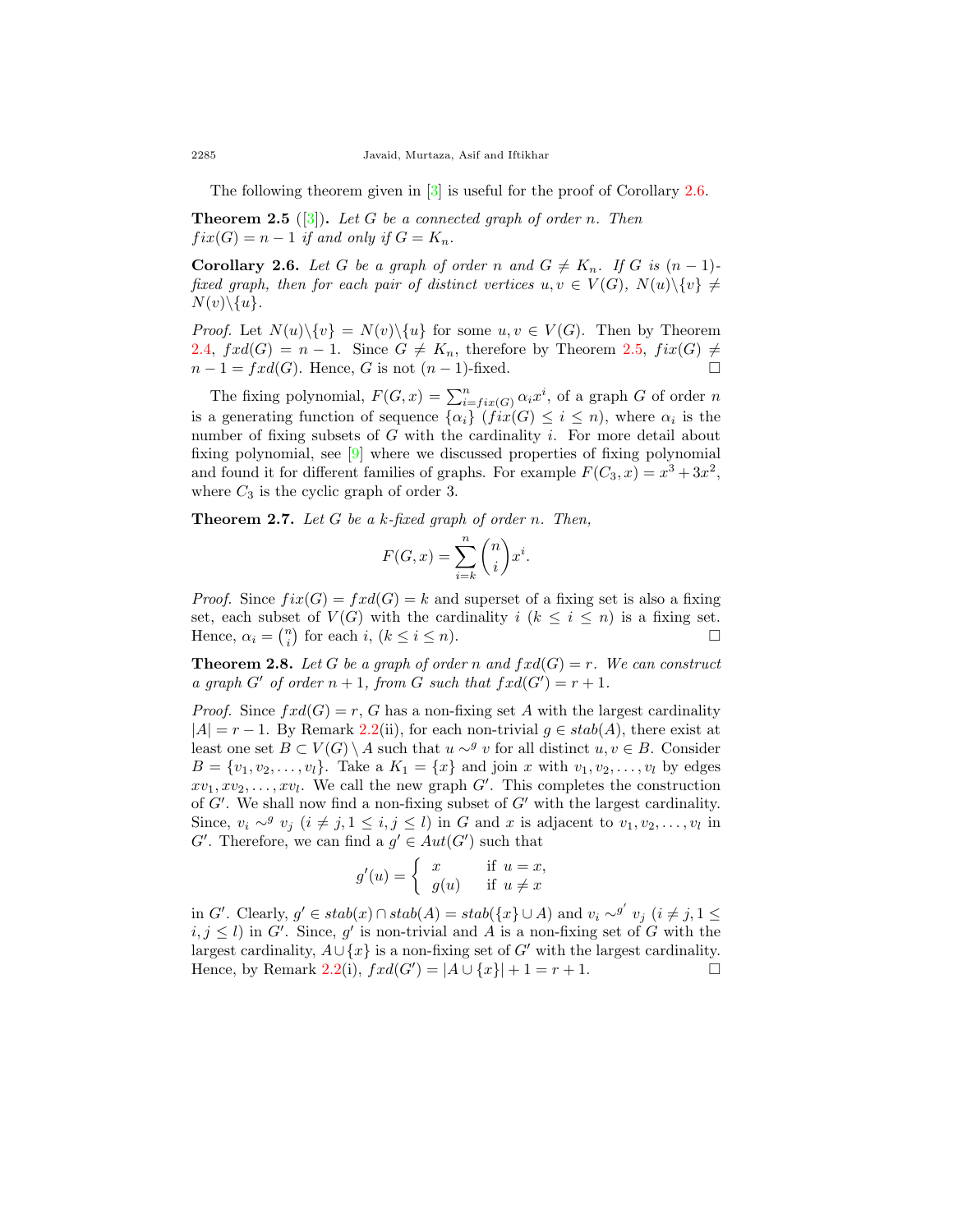The following theorem given in [[3\]](#page-11-3) is useful for the proof of Corollary [2.6.](#page-5-1)

<span id="page-5-2"></span>**Theorem 2.5** ([\[3](#page-11-3)])**.** *Let G be a connected graph of order n. Then*  $fix(G) = n - 1$  *if and only if*  $G = K_n$ *.* 

<span id="page-5-1"></span>**Corollary 2.6.** *Let G be a graph of order n* and  $G \neq K_n$ *. If G is*  $(n-1)$ *fixed graph, then for each pair of distinct vertices*  $u, v \in V(G)$ ,  $N(u) \setminus \{v\} \neq$  $N(v)\setminus\{u\}.$ 

*Proof.* Let  $N(u)\setminus\{v\} = N(v)\setminus\{u\}$  for some  $u, v \in V(G)$ . Then by Theorem [2.4,](#page-4-1)  $fxd(G) = n - 1$ . Since  $G \neq K_n$ , therefore by Theorem [2.5](#page-5-2),  $fix(G) \neq$  $n-1 = fxd(G)$ . Hence, *G* is not  $(n-1)$ -fixed. □

The fixing polynomial,  $F(G, x) = \sum_{i=fix(G)}^{n} \alpha_i x^i$ , of a graph *G* of order *n* is a generating function of sequence  $\{\alpha_i\}$  ( $fix(G) \leq i \leq n$ ), where  $\alpha_i$  is the number of fixing subsets of *G* with the cardinality *i*. For more detail about fixing polynomial, see [[9](#page-12-2)] where we discussed properties of fixing polynomial and found it for different families of graphs. For example  $F(C_3, x) = x^3 + 3x^2$ , where  $C_3$  is the cyclic graph of order 3.

**Theorem 2.7.** *Let G be a k-fixed graph of order n. Then,*

$$
F(G,x)=\sum_{i=k}^n \binom{n}{i}x^i.
$$

*Proof.* Since  $fix(G) = fxd(G) = k$  and superset of a fixing set is also a fixing set, each subset of  $V(G)$  with the cardinality  $i$  ( $k \leq i \leq n$ ) is a fixing set. Hence,  $\alpha_i = \binom{n}{i}$  for each *i*,  $(k \le i \le n)$ .

<span id="page-5-0"></span>**Theorem 2.8.** Let G be a graph of order n and  $fxd(G) = r$ . We can construct *a* graph  $G'$  of order  $n + 1$ , from  $G$  such that  $fxd(G') = r + 1$ .

*Proof.* Since  $fxd(G) = r$ , *G* has a non-fixing set *A* with the largest cardinality  $|A| = r - 1$ . By Remark [2.2\(](#page-4-2)ii), for each non-trivial  $g \in stab(A)$ , there exist at least one set  $B \subset V(G) \setminus A$  such that  $u \sim^g v$  for all distinct  $u, v \in B$ . Consider  $B = \{v_1, v_2, \ldots, v_l\}$ . Take a  $K_1 = \{x\}$  and join *x* with  $v_1, v_2, \ldots, v_l$  by edges  $xv_1, xv_2, \ldots, xv_l$ . We call the new graph *G*<sup>*'*</sup>. This completes the construction of *G′* . We shall now find a non-fixing subset of *G′* with the largest cardinality. Since,  $v_i \sim^g v_j$  ( $i \neq j, 1 \leq i, j \leq l$ ) in *G* and *x* is adjacent to  $v_1, v_2, \ldots, v_l$  in *G*<sup> $\prime$ </sup>. Therefore, we can find a  $g' \in Aut(G')$  such that

$$
g'(u) = \begin{cases} x & \text{if } u = x, \\ g(u) & \text{if } u \neq x \end{cases}
$$

in G'. Clearly,  $g' \in stab(x) \cap stab(A) = stab(\lbrace x \rbrace \cup A)$  and  $v_i \sim^{g'} v_j$   $(i \neq j, 1 \leq j$  $i, j \leq l$ ) in *G*<sup>*'*</sup>. Since, *g*<sup>*'*</sup> is non-trivial and *A* is a non-fixing set of *G* with the largest cardinality,  $A \cup \{x\}$  is a non-fixing set of  $G'$  with the largest cardinality. Hence, by Remark [2.2](#page-4-2)(i),  $fxd(G') = |A \cup \{x\}| + 1 = r + 1.$  □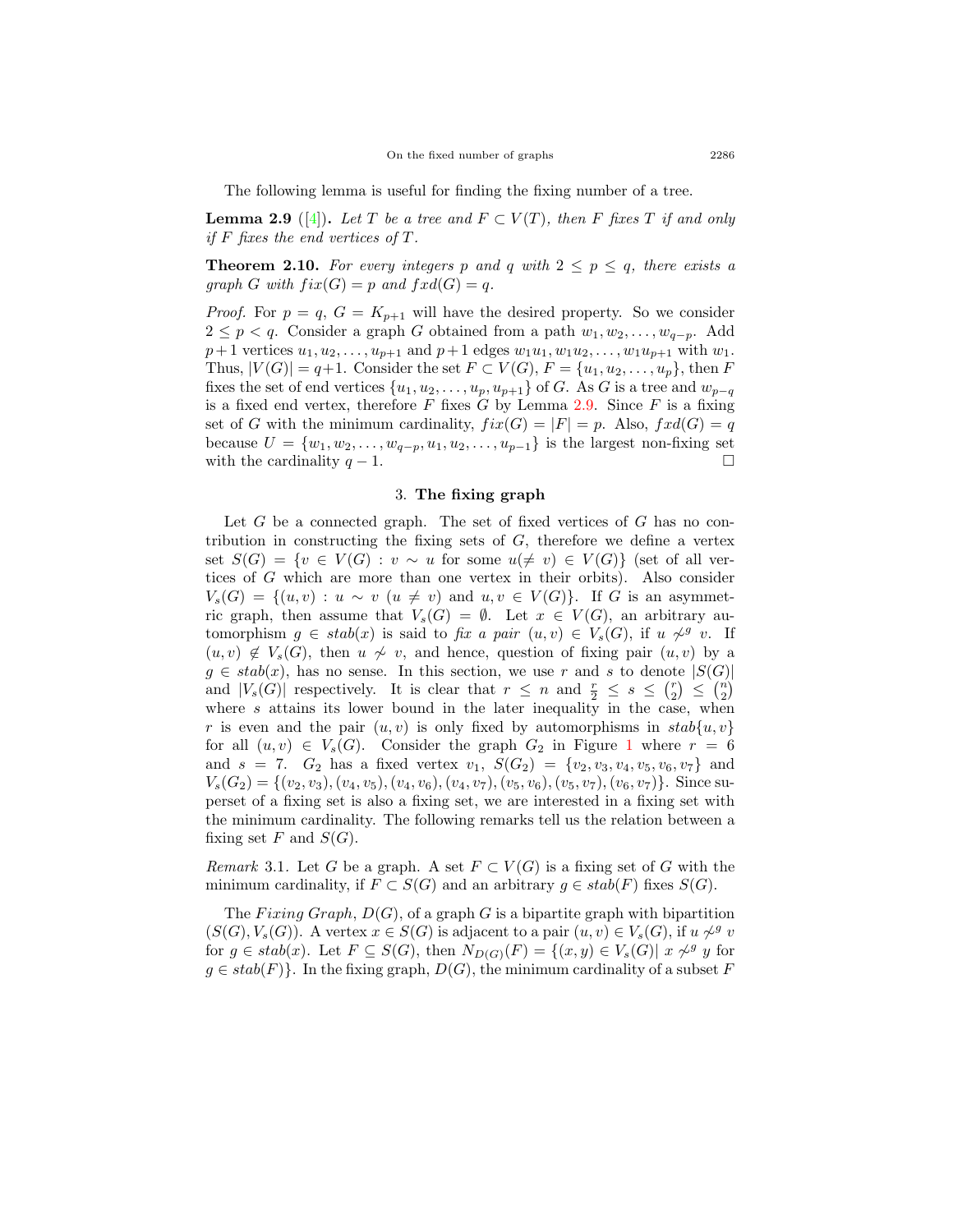The following lemma is useful for finding the fixing number of a tree.

<span id="page-6-0"></span>**Lemma 2.9** ([[4\]](#page-11-0)). Let *T* be a tree and  $F \subset V(T)$ , then *F* fixes *T* if and only *if F fixes the end vertices of T.*

**Theorem 2.10.** For every integers p and q with  $2 \leq p \leq q$ , there exists a *graph G with*  $fix(G) = p$  *and*  $fxd(G) = q$ *.* 

*Proof.* For  $p = q$ ,  $G = K_{p+1}$  will have the desired property. So we consider 2 ≤ *p* < *q*. Consider a graph *G* obtained from a path  $w_1, w_2, \ldots, w_{q-p}$ . Add  $p+1$  vertices  $u_1, u_2, \ldots, u_{p+1}$  and  $p+1$  edges  $w_1u_1, w_1u_2, \ldots, w_1u_{p+1}$  with  $w_1$ . Thus,  $|V(G)| = q+1$ . Consider the set  $F \subset V(G)$ ,  $F = \{u_1, u_2, \ldots, u_p\}$ , then *F* fixes the set of end vertices  $\{u_1, u_2, \ldots, u_p, u_{p+1}\}$  of *G*. As *G* is a tree and  $w_{p-q}$ is a fixed end vertex, therefore *F* fixes *G* by Lemma [2.9](#page-6-0). Since *F* is a fixing set of *G* with the minimum cardinality,  $fix(G) = |F| = p$ . Also,  $fxd(G) = q$ because  $U = \{w_1, w_2, \dots, w_{q-p}, u_1, u_2, \dots, u_{p-1}\}$  is the largest non-fixing set with the cardinality  $q - 1$ . with the cardinality  $q-1$ .

### 3. **The fixing graph**

Let *G* be a connected graph. The set of fixed vertices of *G* has no contribution in constructing the fixing sets of *G*, therefore we define a vertex set  $S(G) = \{v \in V(G) : v \sim u \text{ for some } u \neq v \} \in V(G) \}$  (set of all vertices of *G* which are more than one vertex in their orbits). Also consider  $V_s(G) = \{(u, v) : u \sim v \ (u \neq v) \text{ and } u, v \in V(G)\}.$  If *G* is an asymmetric graph, then assume that  $V_s(G) = \emptyset$ . Let  $x \in V(G)$ , an arbitrary automorphism  $g \in stab(x)$  is said to *fix a pair*  $(u, v) \in V_s(G)$ , if  $u \nsim^g v$ . If  $(u, v) \notin V_s(G)$ , then  $u \nsim v$ , and hence, question of fixing pair  $(u, v)$  by a  $g \in stab(x)$ , has no sense. In this section, we use *r* and *s* to denote  $|S(G)|$ and  $|V_s(G)|$  respectively. It is clear that  $r \leq n$  and  $\frac{r}{2} \leq s \leq {r \choose 2} \leq {n \choose 2}$ where *s* attains its lower bound in the later inequality in the case, when *r* is even and the pair  $(u, v)$  is only fixed by automorphisms in  $stab{u, v}$ for all  $(u, v) \in V_s(G)$ . Consider the graph  $G_2$  in Figure [1](#page-3-0) where  $r = 6$ and  $s = 7$ .  $G_2$  has a fixed vertex  $v_1$ ,  $S(G_2) = \{v_2, v_3, v_4, v_5, v_6, v_7\}$  and  $V_s(G_2) = \{(v_2, v_3), (v_4, v_5), (v_4, v_6), (v_4, v_7), (v_5, v_6), (v_5, v_7), (v_6, v_7)\}\.$  Since superset of a fixing set is also a fixing set, we are interested in a fixing set with the minimum cardinality. The following remarks tell us the relation between a fixing set  $F$  and  $S(G)$ .

*Remark* 3.1. Let *G* be a graph. A set  $F \subset V(G)$  is a fixing set of *G* with the minimum cardinality, if  $F \subset S(G)$  and an arbitrary  $g \in stab(F)$  fixes  $S(G)$ .

The *Fixing Graph*,  $D(G)$ , of a graph *G* is a bipartite graph with bipartition  $(S(G), V_s(G))$ . A vertex  $x \in S(G)$  is adjacent to a pair  $(u, v) \in V_s(G)$ , if  $u \nsim^g v$ for  $g \in stab(x)$ . Let  $F \subseteq S(G)$ , then  $N_{D(G)}(F) = \{(x,y) \in V_s(G) | x \nsim y$  for  $g \in stab(F)$ }. In the fixing graph,  $D(G)$ , the minimum cardinality of a subset *F*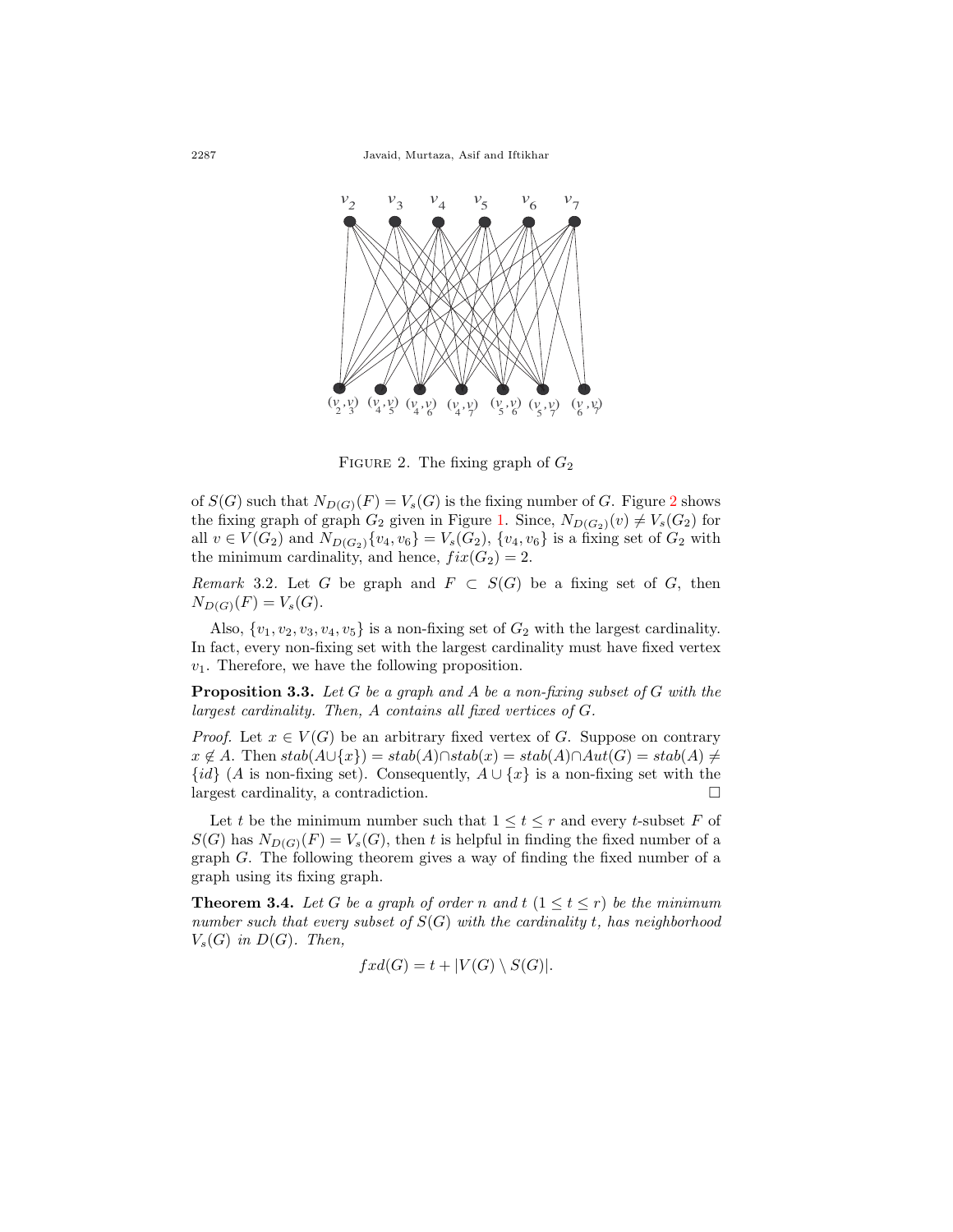

<span id="page-7-0"></span>FIGURE 2. The fixing graph of  $G_2$ 

of  $S(G)$  such that  $N_{D(G)}(F) = V_s(G)$  is the fixing number of *G*. Figure [2](#page-7-0) shows the fixing graph of graph  $G_2$  given in Figure [1](#page-3-0). Since,  $N_{D(G_2)}(v) \neq V_s(G_2)$  for all *v* ∈ *V*(*G*<sub>2</sub>) and *N*<sub>*D*(*G*<sub>2</sub>)</sub>{*v*<sub>4</sub>*, v*<sub>6</sub>} = *V*<sub>*s*</sub>(*G*<sub>2</sub>), {*v*<sub>4</sub>*, v*<sub>6</sub>} is a fixing set of *G*<sub>2</sub> with the minimum cardinality, and hence,  $fix(G_2) = 2$ .

*Remark* 3.2. Let *G* be graph and  $F \subset S(G)$  be a fixing set of *G*, then  $N_{D(G)}(F) = V_s(G)$ .

Also,  $\{v_1, v_2, v_3, v_4, v_5\}$  is a non-fixing set of  $G_2$  with the largest cardinality. In fact, every non-fixing set with the largest cardinality must have fixed vertex *v*1. Therefore, we have the following proposition.

<span id="page-7-1"></span>**Proposition 3.3.** *Let G be a graph and A be a non-fixing subset of G with the largest cardinality. Then, A contains all fixed vertices of G.*

*Proof.* Let  $x \in V(G)$  be an arbitrary fixed vertex of *G*. Suppose on contrary  $x \notin A$ . Then  $stab(A \cup \{x\}) = stab(A) \cap stab(x) = stab(A) \cap Aut(G) = stab(A) \neq$  $\{id\}$  (*A* is non-fixing set). Consequently,  $A \cup \{x\}$  is a non-fixing set with the largest cardinality, a contradiction.  $\Box$ 

Let *t* be the minimum number such that  $1 \le t \le r$  and every *t*-subset *F* of  $S(G)$  has  $N_{D(G)}(F) = V_s(G)$ , then *t* is helpful in finding the fixed number of a graph *G*. The following theorem gives a way of finding the fixed number of a graph using its fixing graph.

**Theorem 3.4.** Let G be a graph of order n and  $t$  ( $1 \le t \le r$ ) be the minimum *number such that every subset of S*(*G*) *with the cardinality t, has neighborhood*  $V_s(G)$  *in*  $D(G)$ *. Then,* 

$$
fxd(G) = t + |V(G) \setminus S(G)|.
$$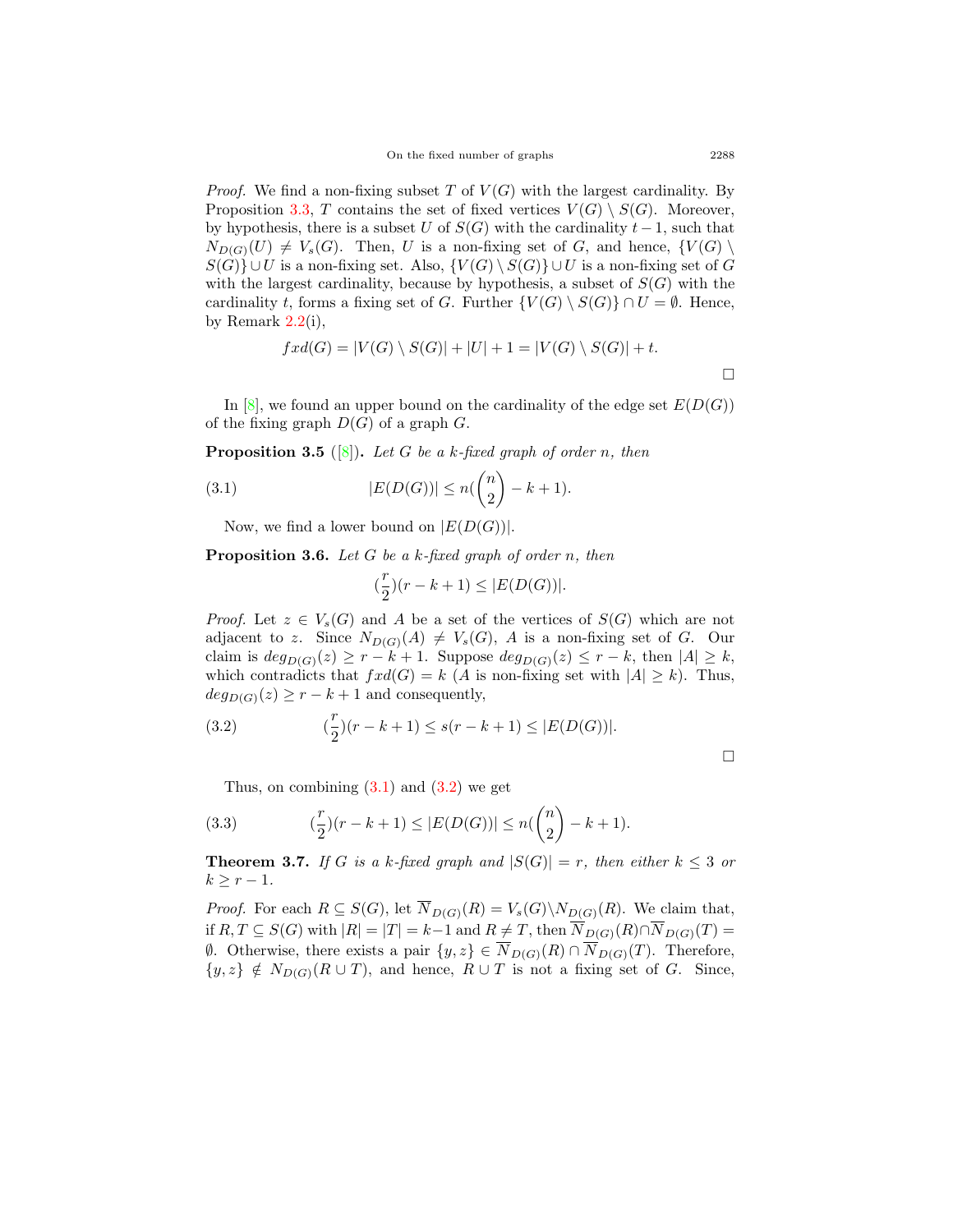*Proof.* We find a non-fixing subset *T* of  $V(G)$  with the largest cardinality. By Proposition [3.3](#page-7-1), *T* contains the set of fixed vertices  $V(G) \setminus S(G)$ . Moreover, by hypothesis, there is a subset *U* of  $S(G)$  with the cardinality  $t-1$ , such that  $N_{D(G)}(U) \neq V_s(G)$ . Then, *U* is a non-fixing set of *G*, and hence,  $\{V(G) \setminus V(G) \}$ *S*(*G*)*}* ∪*U* is a non-fixing set. Also,  ${V(G) \setminus S(G)}$  ∪*U* is a non-fixing set of *G* with the largest cardinality, because by hypothesis, a subset of  $S(G)$  with the cardinality *t*, forms a fixing set of *G*. Further  $\{V(G) \setminus S(G)\} \cap U = \emptyset$ . Hence, by Remark  $2.2(i)$  $2.2(i)$ ,

$$
fxd(G) = |V(G) \setminus S(G)| + |U| + 1 = |V(G) \setminus S(G)| + t.
$$

In [[8\]](#page-12-3), we found an upper bound on the cardinality of the edge set  $E(D(G))$ of the fixing graph *D*(*G*) of a graph *G*.

**Proposition 3.5** ([[8\]](#page-12-3))**.** *Let G be a k-fixed graph of order n, then*

(3.1) 
$$
|E(D(G))| \le n(\binom{n}{2} - k + 1).
$$

Now, we find a lower bound on  $|E(D(G))|$ .

**Proposition 3.6.** *Let G be a k-fixed graph of order n, then*

<span id="page-8-1"></span>
$$
(\frac{r}{2})(r-k+1)\leq |E(D(G))|.
$$

*Proof.* Let  $z \in V_s(G)$  and A be a set of the vertices of  $S(G)$  which are not adjacent to *z*. Since  $N_{D(G)}(A) \neq V_s(G)$ , *A* is a non-fixing set of *G*. Our claim is  $deg_{D(G)}(z) \geq r - k + 1$ . Suppose  $deg_{D(G)}(z) \leq r - k$ , then  $|A| \geq k$ , which contradicts that  $fxd(G) = k$  (*A* is non-fixing set with  $|A| \geq k$ ). Thus,  $deg_{D(G)}(z) \geq r - k + 1$  and consequently,

<span id="page-8-2"></span>(3.2) 
$$
\left(\frac{r}{2}\right)(r-k+1) \le s(r-k+1) \le |E(D(G))|.
$$

<span id="page-8-3"></span>Thus, on combining  $(3.1)$  $(3.1)$  $(3.1)$  and  $(3.2)$  $(3.2)$  we get

(3.3) 
$$
\left(\frac{r}{2}\right)(r-k+1) \le |E(D(G))| \le n\left(\binom{n}{2} - k + 1\right).
$$

<span id="page-8-0"></span>**Theorem 3.7.** *If G is a k-fixed graph and*  $|S(G)| = r$ *, then either*  $k \leq 3$  *or*  $k$  ≥  $r$  − 1*.* 

*Proof.* For each  $R \subseteq S(G)$ , let  $\overline{N}_{D(G)}(R) = V_s(G) \backslash N_{D(G)}(R)$ . We claim that, if  $R, T \subseteq S(G)$  with  $|R| = |T| = k-1$  and  $R \neq T$ , then  $\overline{N}_{D(G)}(R) \cap \overline{N}_{D(G)}(T) =$  $\emptyset$ *.* Otherwise, there exists a pair  $\{y, z\} \in \overline{N}_{D(G)}(R) \cap \overline{N}_{D(G)}(T)$ . Therefore,  $\{y, z\} \notin N_{D(G)}(R \cup T)$ , and hence,  $R \cup T$  is not a fixing set of *G*. Since,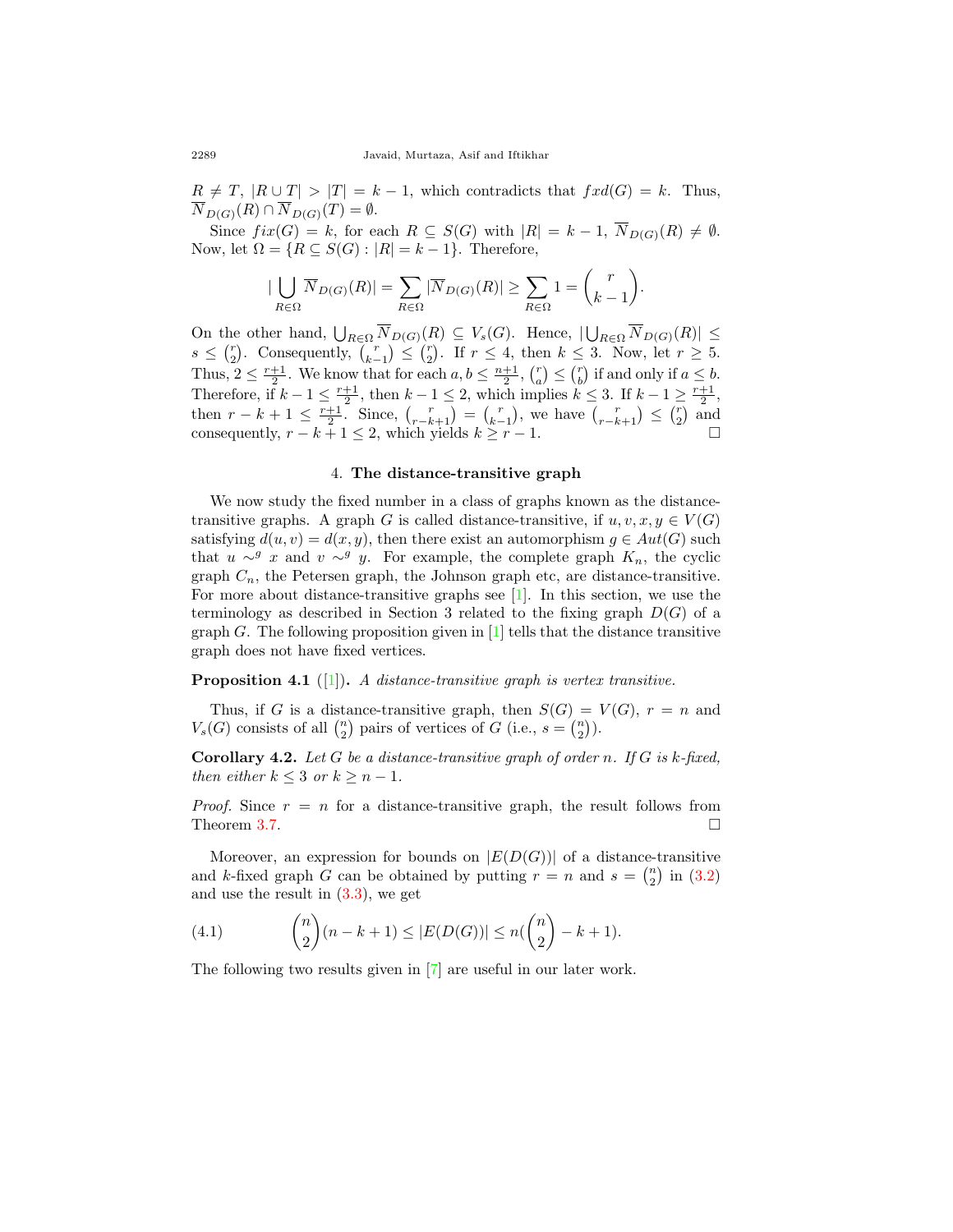$R \neq T$ ,  $|R \cup T| > |T| = k - 1$ , which contradicts that  $fxd(G) = k$ . Thus,  $\overline{N}_{D(G)}(R) \cap \overline{N}_{D(G)}(T) = \emptyset.$ 

Since  $fix(G) = k$ , for each  $R \subseteq S(G)$  with  $|R| = k - 1$ ,  $\overline{N}_{D(G)}(R) \neq \emptyset$ . Now, let  $\Omega = \{ R \subseteq S(G) : |R| = k - 1 \}.$  Therefore,

$$
|\bigcup_{R\in\Omega} \overline{N}_{D(G)}(R)| = \sum_{R\in\Omega} |\overline{N}_{D(G)}(R)| \ge \sum_{R\in\Omega} 1 = {r \choose k-1}.
$$

On the other hand,  $\bigcup_{R\in\Omega} \overline{N}_{D(G)}(R) \subseteq V_s(G)$ . Hence,  $|\bigcup_{R\in\Omega} \overline{N}_{D(G)}(R)| \le$  $s \leq {r \choose 2}$ . Consequently,  ${r \choose k-1} \leq {r \choose 2}$ . If  $r \leq 4$ , then  $k \leq 3$ . Now, let  $r \geq 5$ . *k*<sup>2</sup>  $\leq$  *k*<sub>2</sub>. Consequently,  $\binom{k-1}{k-1} \leq \binom{2}{2}$ . If  $k \leq 3$ ,  $\leq$  *k*<sub>1</sub>  $\leq$  *k*<sub>2</sub>. Thus,  $2 \leq \frac{r+1}{2}$ . We know that for each  $a, b \leq \frac{n+1}{2}$ ,  $\binom{r}{a} \leq \binom{r}{b}$  if and only if  $a \leq b$ . Therefore, if  $k - 1 \leq \frac{r+1}{2}$ , then  $k - 1 \leq 2$ , which implies  $k \leq 3$ . If  $k - 1 \geq \frac{r+1}{2}$ , then  $r - k + 1 \le \frac{r+1}{2}$ . Since,  $\binom{r}{r-k+1} = \binom{r}{k-1}$ , we have  $\binom{r}{r-k+1} \le \binom{r}{2}$  and consequently,  $r - k + 1 \leq 2$ , which yields  $k \geq r - 1$ . □

## 4. **The distance-transitive graph**

We now study the fixed number in a class of graphs known as the distancetransitive graphs. A graph *G* is called distance-transitive, if  $u, v, x, y \in V(G)$ satisfying  $d(u, v) = d(x, y)$ , then there exist an automorphism  $g \in Aut(G)$  such that *u*  $\sim$ <sup>*g*</sup> *x* and *v*  $\sim$ <sup>*g*</sup> *y*. For example, the complete graph  $K_n$ , the cyclic graph  $C_n$ , the Petersen graph, the Johnson graph etc, are distance-transitive. For more about distance-transitive graphs see [[1](#page-11-4)]. In this section, we use the terminology as described in Section 3 related to the fixing graph  $D(G)$  of a graph  $G$ . The following proposition given in  $[1]$  $[1]$  tells that the distance transitive graph does not have fixed vertices.

**Proposition 4.1** ([[1\]](#page-11-4))**.** *A distance-transitive graph is vertex transitive.*

Thus, if *G* is a distance-transitive graph, then  $S(G) = V(G)$ ,  $r = n$  and  $V_s(G)$  consists of all  $\binom{n}{2}$  pairs of vertices of *G* (i.e.,  $s = \binom{n}{2}$ ).

**Corollary 4.2.** *Let G be a distance-transitive graph of order n. If G is k-fixed, then either*  $k \leq 3$  *or*  $k \geq n-1$ *.* 

*Proof.* Since  $r = n$  for a distance-transitive graph, the result follows from Theorem [3.7.](#page-8-0)  $\Box$ 

Moreover, an expression for bounds on  $|E(D(G))|$  of a distance-transitive and *k*-fixed graph *G* can be obtained by putting  $r = n$  and  $s = \binom{n}{2}$  in ([3.2](#page-8-2)) and use the result in ([3.3\)](#page-8-3), we get

<span id="page-9-0"></span>(4.1) 
$$
{n \choose 2}(n-k+1) \le |E(D(G))| \le n({n \choose 2} - k + 1).
$$

The following two results given in [\[7](#page-12-0)] are useful in our later work.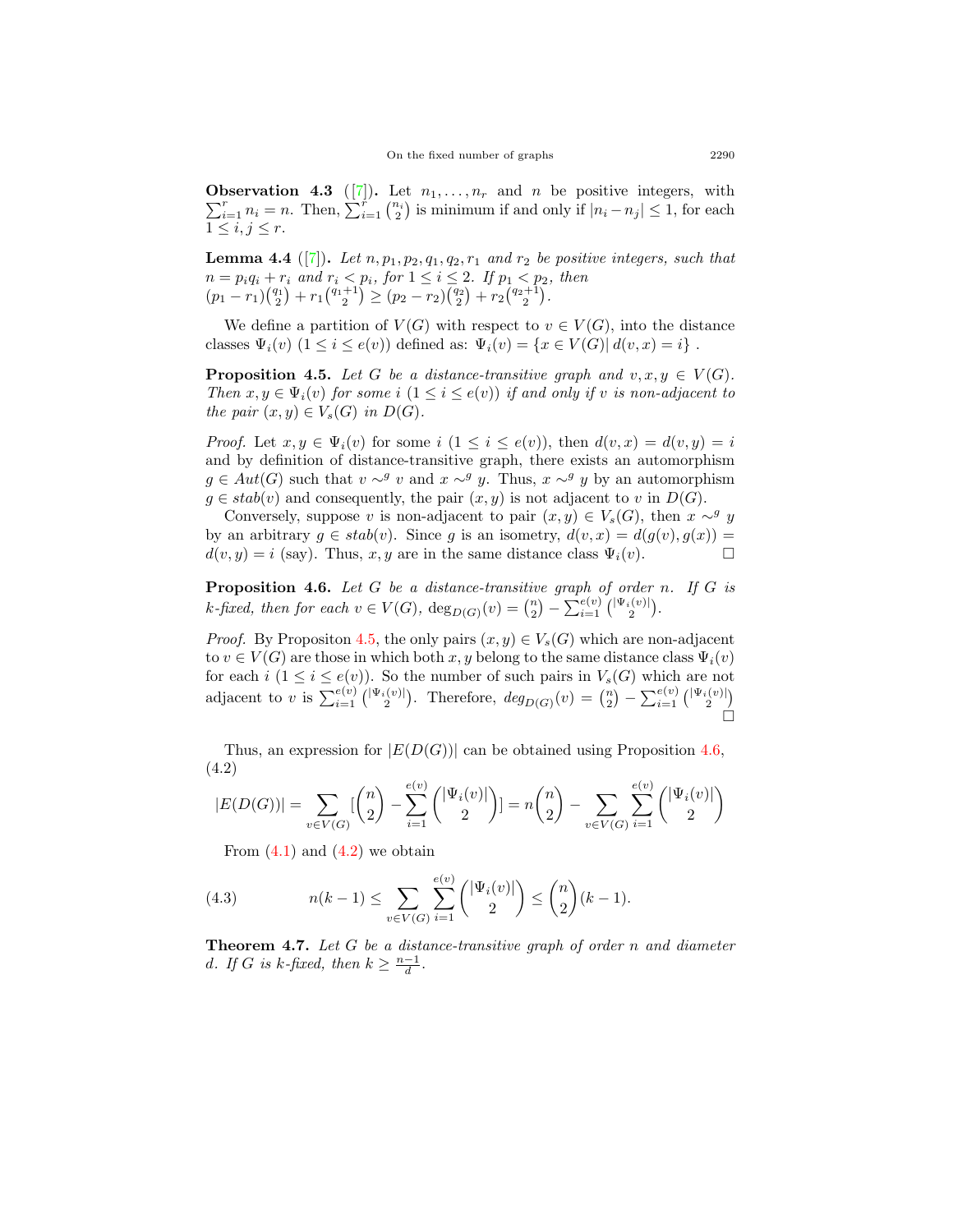<span id="page-10-3"></span>**Observation 4.3** ([[7\]](#page-12-0)). Let  $n_1, \ldots, n_r$  and *n* be positive integers, with  $\sum_{i=1}^{r} n_i = n$ . Then,  $\sum_{i=1}^{r} {n_i \choose 2}$  is minimum if and only if  $|n_i - n_j| \leq 1$ , for each  $1 \leq i, j \leq r$ .

<span id="page-10-4"></span>**Lemma 4.4** ([\[7](#page-12-0)]). Let  $n, p_1, p_2, q_1, q_2, r_1$  and  $r_2$  be positive integers, such that  $n = p_i q_i + r_i$  and  $r_i < p_i$ , for  $1 \leq i \leq 2$ . If  $p_1 < p_2$ , then  $(p_1 - r_1) \binom{q_1}{2} + r_1 \binom{q_1+1}{2} \ge (p_2 - r_2) \binom{q_2}{2} + r_2 \binom{q_2+1}{2}.$ 

We define a partition of  $V(G)$  with respect to  $v \in V(G)$ , into the distance classes  $\Psi_i(v)$   $(1 \leq i \leq e(v))$  defined as:  $\Psi_i(v) = \{x \in V(G) | d(v, x) = i\}$ .

<span id="page-10-0"></span>**Proposition 4.5.** *Let G be a distance-transitive graph and*  $v, x, y \in V(G)$ *. Then*  $x, y \in \Psi_i(v)$  *for some i*  $(1 \leq i \leq e(v))$  *if and only if v is non-adjacent to the pair*  $(x, y) \in V_s(G)$  *in*  $D(G)$ *.* 

*Proof.* Let  $x, y \in \Psi_i(v)$  for some  $i$   $(1 \leq i \leq e(v))$ , then  $d(v, x) = d(v, y) = i$ and by definition of distance-transitive graph, there exists an automorphism *g* ∈ *Aut*(*G*) such that *v* ∼<sup>*g*</sup> *v* and *x* ∼<sup>*g*</sup> *y*. Thus, *x* ∼<sup>*g*</sup> *y* by an automorphism  $g \in stab(v)$  and consequently, the pair  $(x, y)$  is not adjacent to *v* in  $D(G)$ .

Conversely, suppose *v* is non-adjacent to pair  $(x, y) \in V_s(G)$ , then  $x \sim^g y$ by an arbitrary  $g \in stab(v)$ . Since *g* is an isometry,  $d(v, x) = d(g(v), g(x)) =$  $d(v, y) = i$  (say). Thus, *x, y* are in the same distance class  $\Psi_i(v)$ .

<span id="page-10-1"></span>**Proposition 4.6.** *Let G be a distance-transitive graph of order n. If G is*  $k$ *-fixed, then for each*  $v \in V(G)$ ,  $deg_{D(G)}(v) = \binom{n}{2} - \sum_{i=1}^{e(v)} \binom{|\Psi_i(v)|}{2}$ .

*Proof.* By Propositon [4.5](#page-10-0), the only pairs  $(x, y) \in V_s(G)$  which are non-adjacent to  $v \in V(G)$  are those in which both  $x, y$  belong to the same distance class  $\Psi_i(v)$ for each *i*  $(1 \leq i \leq e(v))$ . So the number of such pairs in  $V_s(G)$  which are not adjacent to v is  $\sum_{i=1}^{e(v)} {\binom{|\Psi_i(v)|}{2}}$ . Therefore,  $deg_{D(G)}(v) = \binom{n}{2} - \sum_{i=1}^{e(v)} {\binom{|\Psi_i(v)|}{2}}$ □

Thus, an expression for  $|E(D(G))|$  can be obtained using Proposition [4.6](#page-10-1), (4.2)

<span id="page-10-2"></span>
$$
|E(D(G))| = \sum_{v \in V(G)} {n \choose 2} - \sum_{i=1}^{e(v)} {|\Psi_i(v)| \choose 2} = n {n \choose 2} - \sum_{v \in V(G)} \sum_{i=1}^{e(v)} {|\Psi_i(v)| \choose 2}
$$

<span id="page-10-5"></span>From  $(4.1)$  and  $(4.2)$  $(4.2)$  we obtain

(4.3) 
$$
n(k-1) \le \sum_{v \in V(G)} \sum_{i=1}^{e(v)} \binom{|\Psi_i(v)|}{2} \le \binom{n}{2}(k-1).
$$

**Theorem 4.7.** *Let G be a distance-transitive graph of order n and diameter d. If G is k-fixed, then*  $k \geq \frac{n-1}{d}$ *.*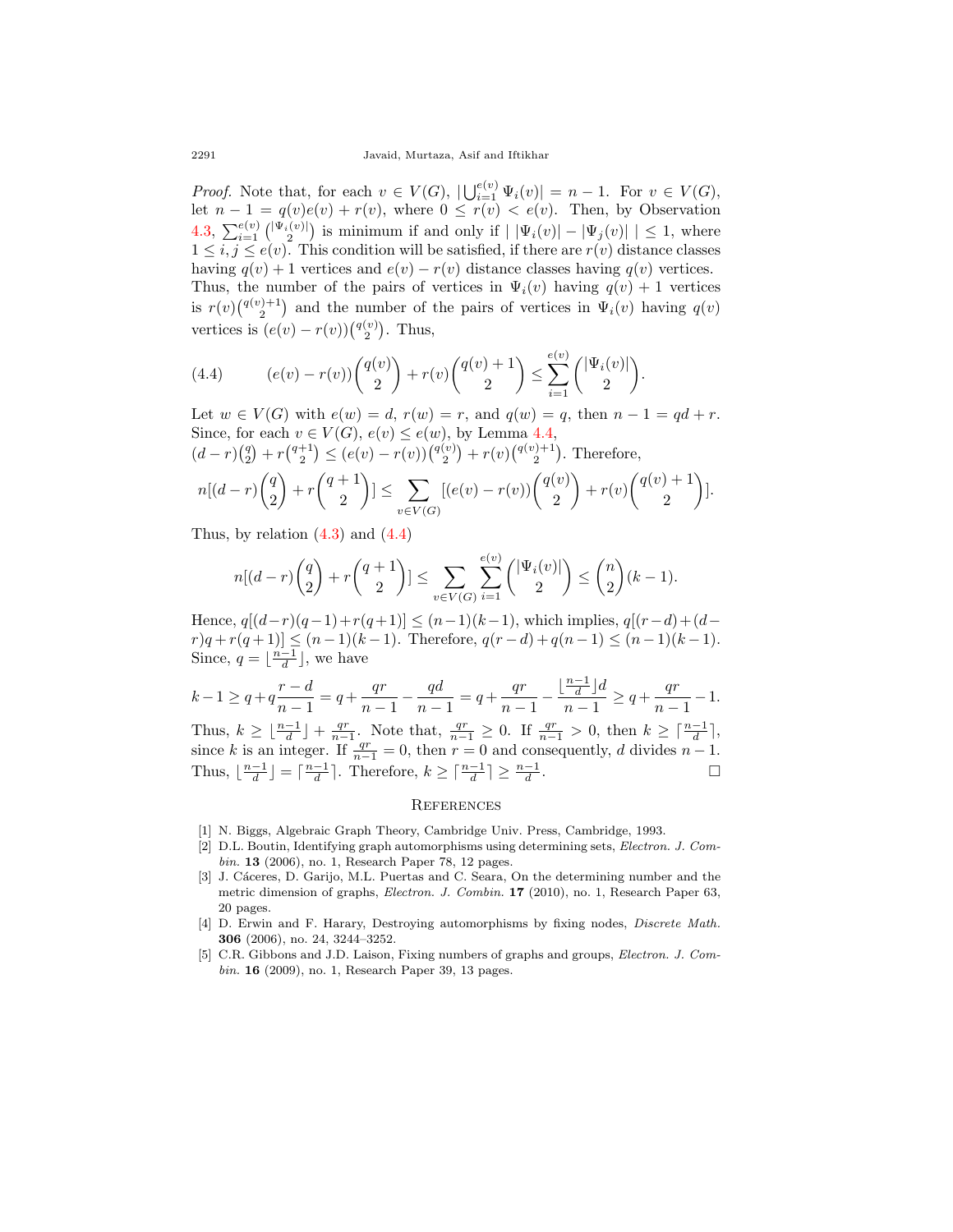*Proof.* Note that, for each  $v \in V(G)$ ,  $|\bigcup_{i=1}^{e(v)} \Psi_i(v)| = n - 1$ . For  $v \in V(G)$ , let  $n-1 = q(v)e(v) + r(v)$ , where  $0 \le r(v) < e(v)$ . Then, by Observation [4.3,](#page-10-3)  $\sum_{i=1}^{e(v)} \binom{|\Psi_i(v)|}{2}$  is minimum if and only if  $| |\Psi_i(v)| - |\Psi_j(v)| | \leq 1$ , where  $1 \leq i, j \leq e(v)$ . This condition will be satisfied, if there are  $r(v)$  distance classes having  $q(v) + 1$  vertices and  $e(v) - r(v)$  distance classes having  $q(v)$  vertices. Thus, the number of the pairs of vertices in  $\Psi_i(v)$  having  $q(v) + 1$  vertices is  $r(v)$  $\binom{q(v)+1}{2}$  and the number of the pairs of vertices in  $\Psi_i(v)$  having  $q(v)$ vertices is  $(e(v) - r(v))\binom{q(v)}{2}$ . Thus,

<span id="page-11-5"></span>(4.4) 
$$
(e(v) - r(v))\binom{q(v)}{2} + r(v)\binom{q(v) + 1}{2} \le \sum_{i=1}^{e(v)} \binom{|\Psi_i(v)|}{2}
$$

Let  $w \in V(G)$  with  $e(w) = d$ ,  $r(w) = r$ , and  $q(w) = q$ , then  $n - 1 = qd + r$ . Since, for each  $v \in V(G)$ ,  $e(v) \leq e(w)$ , by Lemma [4.4](#page-10-4),

*.*

$$
(d-r)\binom{q}{2} + r\binom{q+1}{2} \le (e(v) - r(v))\binom{q(v)}{2} + r(v)\binom{q(v)+1}{2}.
$$
 Therefore,

$$
n[(d-r)\binom{q}{2}+r\binom{q+1}{2}] \le \sum_{v\in V(G)}[(e(v)-r(v))\binom{q(v)}{2}+r(v)\binom{q(v)+1}{2}].
$$

Thus, by relation  $(4.3)$  $(4.3)$  and  $(4.4)$  $(4.4)$ 

$$
n[(d-r)\binom{q}{2} + r\binom{q+1}{2}] \le \sum_{v \in V(G)} \sum_{i=1}^{e(v)} \binom{|\Psi_i(v)|}{2} \le \binom{n}{2}(k-1).
$$

Hence,  $q[(d - r)(q - 1) + r(q + 1)] ≤ (n - 1)(k - 1)$ , which implies,  $q[(r - d) + (d - 1)]$  $r)q + r(q+1) \leq (n-1)(k-1)$ . Therefore,  $q(r-d) + q(n-1) \leq (n-1)(k-1)$ . Since,  $q = \lfloor \frac{n-1}{d} \rfloor$ , we have

$$
k-1 \ge q+q\frac{r-d}{n-1}=q+\frac{qr}{n-1}-\frac{qd}{n-1}=q+\frac{qr}{n-1}-\frac{\lfloor\frac{n-1}{d}\rfloor d}{n-1}\ge q+\frac{qr}{n-1}-1.
$$
Thus, 
$$
k \ge \lfloor\frac{n-1}{d}\rfloor+\frac{qr}{n-1}.
$$
 Note that, 
$$
\frac{qr}{n-1}\ge 0.
$$
 If 
$$
\frac{qr}{n-1}>0
$$
, then 
$$
k \ge \lceil\frac{n-1}{d}\rceil,
$$
 since  $k$  is an integer. If 
$$
\frac{qr}{n-1}=0
$$
, then  $r=0$  and consequently,  $d$  divides  $n-1$ . Thus, 
$$
\lfloor\frac{n-1}{d}\rfloor=\lceil\frac{n-1}{d}\rceil.
$$
 Therefore, 
$$
k \ge \lceil\frac{n-1}{d}\rceil\ge \frac{n-1}{d}.
$$

#### **REFERENCES**

- <span id="page-11-4"></span>[1] N. Biggs, Algebraic Graph Theory, Cambridge Univ. Press, Cambridge, 1993.
- <span id="page-11-1"></span>[2] D.L. Boutin, Identifying graph automorphisms using determining sets, *Electron. J. Combin.* **13** (2006), no. 1, Research Paper 78, 12 pages.
- <span id="page-11-3"></span>[3] J. Cáceres, D. Garijo, M.L. Puertas and C. Seara, On the determining number and the metric dimension of graphs, *Electron. J. Combin.* **17** (2010), no. 1, Research Paper 63, 20 pages.
- <span id="page-11-0"></span>[4] D. Erwin and F. Harary, Destroying automorphisms by fixing nodes, *Discrete Math.* **306** (2006), no. 24, 3244–3252.
- <span id="page-11-2"></span>[5] C.R. Gibbons and J.D. Laison, Fixing numbers of graphs and groups, *Electron. J. Combin.* **16** (2009), no. 1, Research Paper 39, 13 pages.